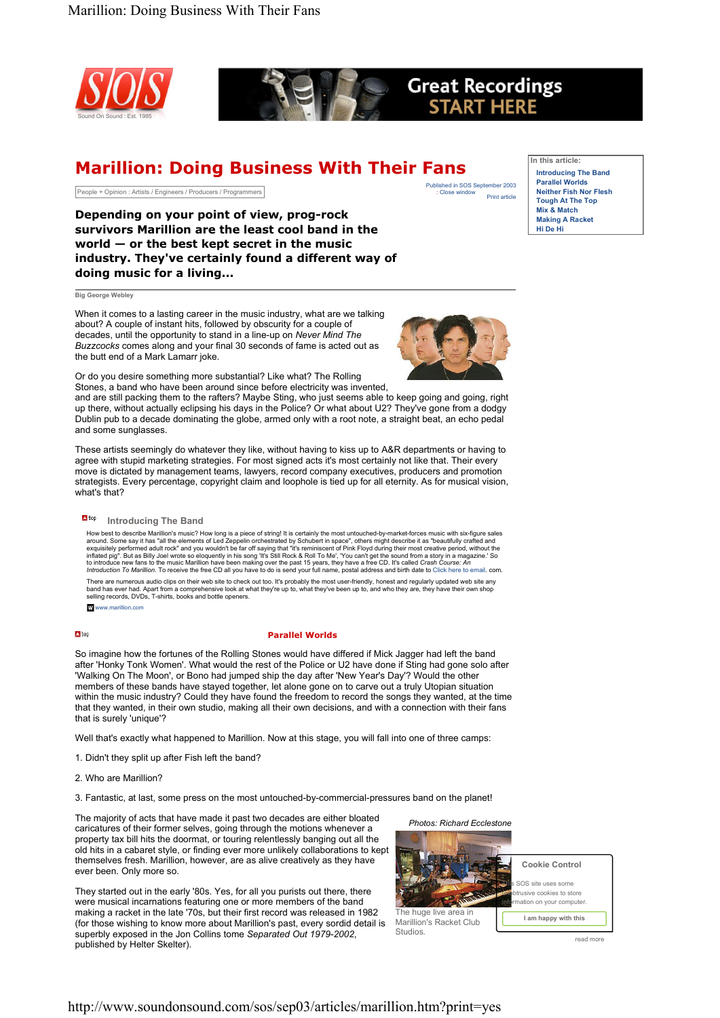



# **Great Recordings START HERE**

# Marillion: Doing Business With Their Fans

People + Opinion : Artists / Engineers / Producers / Programmers

Print article Published in SOS September 2003<br>: Close window In this article: Introducing The Band Parallel Worlds Neither Fish Nor Flesh Tough At The Top Mix & Match Making A Racket Hi De Hi

Depending on your point of view, prog-rock survivors Marillion are the least cool band in the world — or the best kept secret in the music industry. They've certainly found a different way of doing music for a living...

Big George Webley

When it comes to a lasting career in the music industry, what are we talking about? A couple of instant hits, followed by obscurity for a couple of decades, until the opportunity to stand in a line-up on *Never Mind The Buzzcocks* comes along and your final 30 seconds of fame is acted out as the butt end of a Mark Lamarr joke.



Or do you desire something more substantial? Like what? The Rolling Stones, a band who have been around since before electricity was invented,

and are still packing them to the rafters? Maybe Sting, who just seems able to keep going and going, right up there, without actually eclipsing his days in the Police? Or what about U2? They've gone from a dodgy Dublin pub to a decade dominating the globe, armed only with a root note, a straight beat, an echo pedal and some sunglasses.

These artists seemingly do whatever they like, without having to kiss up to A&R departments or having to agree with stupid marketing strategies. For most signed acts it's most certainly not like that. Their every move is dictated by management teams, lawyers, record company executives, producers and promotion strategists. Every percentage, copyright claim and loophole is tied up for all eternity. As for musical vision, what's that?

**Eltop** Introducing The Band

How best to describe Marillion's music? How long is a piece of string! It is certainly the most untouched-by-market-forces music with six-figure sales<br>around. Some say it has "all the elements of Led Zeppelin orchestrated

There are numerous audio clips on their web site to check out too. It's probably the most user-friendly, honest and regularly updated web site any<br>band has ever had. Apart from a comprehensive look at what they're up to, w selling records, DVDs, T-shirts, books and bottle openers.

W<sub>www.marillion.com</sub>

## $\blacksquare$ top

# Parallel Worlds

So imagine how the fortunes of the Rolling Stones would have differed if Mick Jagger had left the band after 'Honky Tonk Women'. What would the rest of the Police or U2 have done if Sting had gone solo after 'Walking On The Moon', or Bono had jumped ship the day after 'New Year's Day'? Would the other members of these bands have stayed together, let alone gone on to carve out a truly Utopian situation within the music industry? Could they have found the freedom to record the songs they wanted, at the time that they wanted, in their own studio, making all their own decisions, and with a connection with their fans that is surely 'unique'?

Well that's exactly what happened to Marillion. Now at this stage, you will fall into one of three camps:

- 1. Didn't they split up after Fish left the band?
- 2. Who are Marillion?

3. Fantastic, at last, some press on the most untouched-by-commercial-pressures band on the planet!

The majority of acts that have made it past two decades are either bloated caricatures of their former selves, going through the motions whenever a property tax bill hits the doormat, or touring relentlessly banging out all the old hits in a cabaret style, or finding ever more unlikely collaborations to kept themselves fresh. Marillion, however, are as alive creatively as they have ever been. Only more so.

They started out in the early '80s. Yes, for all you purists out there, there were musical incarnations featuring one or more members of the band making a racket in the late '70s, but their first record was released in 1982 (for those wishing to know more about Marillion's past, every sordid detail is superbly exposed in the Jon Collins tome *Separated Out 1979-2002*, published by Helter Skelter).



read more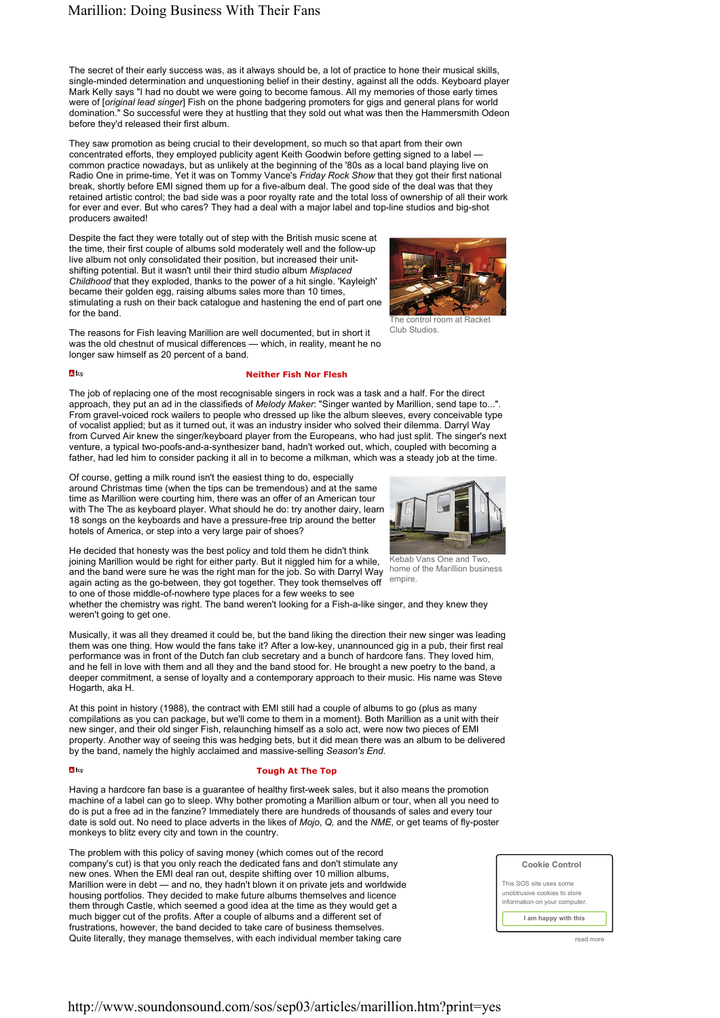The secret of their early success was, as it always should be, a lot of practice to hone their musical skills, single-minded determination and unquestioning belief in their destiny, against all the odds. Keyboard player Mark Kelly says "I had no doubt we were going to become famous. All my memories of those early times were of [*original lead singer*] Fish on the phone badgering promoters for gigs and general plans for world domination." So successful were they at hustling that they sold out what was then the Hammersmith Odeon before they'd released their first album.

They saw promotion as being crucial to their development, so much so that apart from their own concentrated efforts, they employed publicity agent Keith Goodwin before getting signed to a label common practice nowadays, but as unlikely at the beginning of the '80s as a local band playing live on Radio One in prime-time. Yet it was on Tommy Vance's *Friday Rock Show* that they got their first national break, shortly before EMI signed them up for a five-album deal. The good side of the deal was that they retained artistic control; the bad side was a poor royalty rate and the total loss of ownership of all their work for ever and ever. But who cares? They had a deal with a major label and top-line studios and big-shot producers awaited!

Despite the fact they were totally out of step with the British music scene at the time, their first couple of albums sold moderately well and the follow-up live album not only consolidated their position, but increased their unitshifting potential. But it wasn't until their third studio album *Misplaced Childhood* that they exploded, thanks to the power of a hit single. 'Kayleigh' became their golden egg, raising albums sales more than 10 times stimulating a rush on their back catalogue and hastening the end of part one for the band.



The control room at Racket Club Studios.

The reasons for Fish leaving Marillion are well documented, but in short it was the old chestnut of musical differences — which, in reality, meant he no longer saw himself as 20 percent of a band.

### $\Delta$ tor

 $\Delta$ tor

## Neither Fish Nor Flesh

The job of replacing one of the most recognisable singers in rock was a task and a half. For the direct approach, they put an ad in the classifieds of *Melody Maker*: "Singer wanted by Marillion, send tape to...". From gravel-voiced rock wailers to people who dressed up like the album sleeves, every conceivable type of vocalist applied; but as it turned out, it was an industry insider who solved their dilemma. Darryl Way from Curved Air knew the singer/keyboard player from the Europeans, who had just split. The singer's next venture, a typical two-poofs-and-a-synthesizer band, hadn't worked out, which, coupled with becoming a father, had led him to consider packing it all in to become a milkman, which was a steady job at the time.

Of course, getting a milk round isn't the easiest thing to do, especially around Christmas time (when the tips can be tremendous) and at the same time as Marillion were courting him, there was an offer of an American tour with The The as keyboard player. What should he do: try another dairy, learn 18 songs on the keyboards and have a pressure-free trip around the better hotels of America, or step into a very large pair of shoes?

He decided that honesty was the best policy and told them he didn't think joining Marillion would be right for either party. But it niggled him for a while, and the band were sure he was the right man for the job. So with Darryl Way again acting as the go-between, they got together. They took themselves off to one of those middle-of-nowhere type places for a few weeks to see



Kebab Vans One and Two, home of the Marillion business empire.

whether the chemistry was right. The band weren't looking for a Fish-a-like singer, and they knew they weren't going to get one.

Musically, it was all they dreamed it could be, but the band liking the direction their new singer was leading them was one thing. How would the fans take it? After a low-key, unannounced gig in a pub, their first real performance was in front of the Dutch fan club secretary and a bunch of hardcore fans. They loved him, and he fell in love with them and all they and the band stood for. He brought a new poetry to the band, a deeper commitment, a sense of loyalty and a contemporary approach to their music. His name was Steve Hogarth, aka H.

At this point in history (1988), the contract with EMI still had a couple of albums to go (plus as many compilations as you can package, but we'll come to them in a moment). Both Marillion as a unit with their new singer, and their old singer Fish, relaunching himself as a solo act, were now two pieces of EMI property. Another way of seeing this was hedging bets, but it did mean there was an album to be delivered by the band, namely the highly acclaimed and massive-selling *Season's End*.

### Tough At The Top

Having a hardcore fan base is a guarantee of healthy first-week sales, but it also means the promotion machine of a label can go to sleep. Why bother promoting a Marillion album or tour, when all you need to do is put a free ad in the fanzine? Immediately there are hundreds of thousands of sales and every tour date is sold out. No need to place adverts in the likes of *Mojo*, *Q,* and the *NME*, or get teams of fly-poster monkeys to blitz every city and town in the country.

The problem with this policy of saving money (which comes out of the record company's cut) is that you only reach the dedicated fans and don't stimulate any new ones. When the EMI deal ran out, despite shifting over 10 million albums, Marillion were in debt — and no, they hadn't blown it on private jets and worldwide housing portfolios. They decided to make future albums themselves and licence them through Castle, which seemed a good idea at the time as they would get a much bigger cut of the profits. After a couple of albums and a different set of frustrations, however, the band decided to take care of business themselves. Quite literally, they manage themselves, with each individual member taking care read more read more

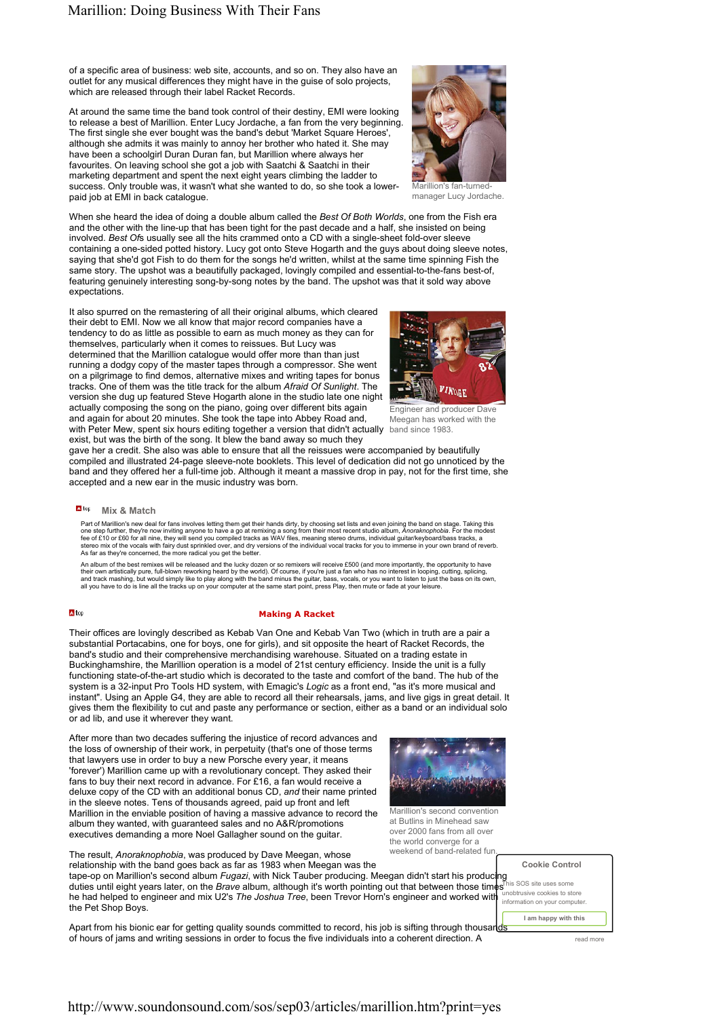of a specific area of business: web site, accounts, and so on. They also have an outlet for any musical differences they might have in the guise of solo projects, which are released through their label Racket Records.

At around the same time the band took control of their destiny, EMI were looking to release a best of Marillion. Enter Lucy Jordache, a fan from the very beginning. The first single she ever bought was the band's debut 'Market Square Heroes'. although she admits it was mainly to annoy her brother who hated it. She may have been a schoolgirl Duran Duran fan, but Marillion where always her favourites. On leaving school she got a job with Saatchi & Saatchi in their marketing department and spent the next eight years climbing the ladder to success. Only trouble was, it wasn't what she wanted to do, so she took a lowerpaid job at EMI in back catalogue.



Marillion's fan-turnedmanager Lucy Jordache.

When she heard the idea of doing a double album called the *Best Of Both Worlds*, one from the Fish era and the other with the line-up that has been tight for the past decade and a half, she insisted on being involved. *Best Of*s usually see all the hits crammed onto a CD with a single-sheet fold-over sleeve containing a one-sided potted history. Lucy got onto Steve Hogarth and the guys about doing sleeve notes, saying that she'd got Fish to do them for the songs he'd written, whilst at the same time spinning Fish the same story. The upshot was a beautifully packaged, lovingly compiled and essential-to-the-fans best-of, featuring genuinely interesting song-by-song notes by the band. The upshot was that it sold way above expectations.

with Peter Mew, spent six hours editing together a version that didn't actually band since 1983. It also spurred on the remastering of all their original albums, which cleared their debt to EMI. Now we all know that major record companies have a tendency to do as little as possible to earn as much money as they can for themselves, particularly when it comes to reissues. But Lucy was determined that the Marillion catalogue would offer more than than just running a dodgy copy of the master tapes through a compressor. She went on a pilgrimage to find demos, alternative mixes and writing tapes for bonus tracks. One of them was the title track for the album *Afraid Of Sunlight*. The version she dug up featured Steve Hogarth alone in the studio late one night actually composing the song on the piano, going over different bits again and again for about 20 minutes. She took the tape into Abbey Road and,



Engineer and producer Dave Meegan has worked with the

exist, but was the birth of the song. It blew the band away so much they gave her a credit. She also was able to ensure that all the reissues were accompanied by beautifully compiled and illustrated 24-page sleeve-note booklets. This level of dedication did not go unnoticed by the band and they offered her a full-time job. Although it meant a massive drop in pay, not for the first time, she accepted and a new ear in the music industry was born.

# **N**<sup>tor</sup> Mix & Match

Part of Marillion's new deal for fans involves letting them get their hands dirty, by choosing set lists and even joining the band on stage. Taking this one step further, they're now inviting anyone to have a go at remixing a song from their most recent studio album, *Anoraknophobia.* For the modest<br>fee of £10 or £60 for all nine, they will send you compiled tracks as WAV stereo mix of the vocals with fairy dust sprinkled over, and dry versions of the individual vocal tracks for you to immerse in your own brand of reverb.<br>As far as they're concerned, the more radical you get the better.

An album of the best remixes will be released and the lucky dozen or so remixers will receive £500 (and more importantly, the opportunity to have their own artistically pure, full-blown reworking heard by the world). Of course, if you're just a fan who has no interest in looping, cutting, splicing,<br>and track mashing, but would simply like to play along with the band

#### A<sub>top</sub>

## Making A Racket

Their offices are lovingly described as Kebab Van One and Kebab Van Two (which in truth are a pair a substantial Portacabins, one for boys, one for girls), and sit opposite the heart of Racket Records, the band's studio and their comprehensive merchandising warehouse. Situated on a trading estate in Buckinghamshire, the Marillion operation is a model of 21st century efficiency. Inside the unit is a fully functioning state-of-the-art studio which is decorated to the taste and comfort of the band. The hub of the system is a 32-input Pro Tools HD system, with Emagic's *Logic* as a front end, "as it's more musical and instant". Using an Apple G4, they are able to record all their rehearsals, jams, and live gigs in great detail. It gives them the flexibility to cut and paste any performance or section, either as a band or an individual solo or ad lib, and use it wherever they want.

After more than two decades suffering the injustice of record advances and the loss of ownership of their work, in perpetuity (that's one of those terms that lawyers use in order to buy a new Porsche every year, it means 'forever') Marillion came up with a revolutionary concept. They asked their fans to buy their next record in advance. For £16, a fan would receive a deluxe copy of the CD with an additional bonus CD, *and* their name printed in the sleeve notes. Tens of thousands agreed, paid up front and left Marillion in the enviable position of having a massive advance to record the album they wanted, with guaranteed sales and no A&R/promotions executives demanding a more Noel Gallagher sound on the guitar.



Marillion's second convention at Butlins in Minehead saw over 2000 fans from all over the world converge for a weekend of band-related fun.

The result, *Anoraknophobia*, was produced by Dave Meegan, whose relationship with the band goes back as far as 1983 when Meegan was the

tape-op on Marillion's second album *Fugazi*, with Nick Tauber producing. Meegan didn't start his producing duties until eight years later, on the *Brave* album, although it's worth pointing out that between those times he had helped to engineer and mix U2's *The Joshua Tree*, been Trevor Horn's engineer and worked with the Pet Shop Boys.

Apart from his bionic ear for getting quality sounds committed to record, his job is sifting through thousands of hours of jams and writing sessions in order to focus the five individuals into a coherent direction. A read more